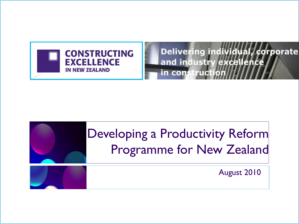

Delivering individual, corporate and industry excellence in construction

# Developing a Productivity Reform Programme for New Zealand

August 2010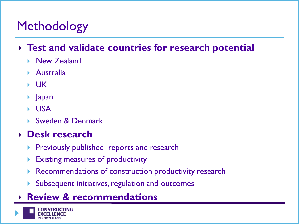# Methodology

#### **Test and validate countries for research potential**

- ▶ New Zealand
- Australia
- $\blacktriangleright$  UK
- ▶ Japan
- USA
- ▶ Sweden & Denmark

#### **Desk research**

- Previously published reports and research
- Existing measures of productivity
- Recommendations of construction productivity research
- Subsequent initiatives, regulation and outcomes
- **Review & recommendations**

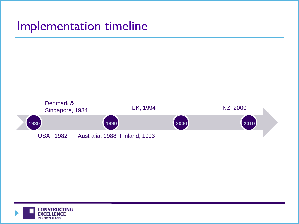### Implementation timeline



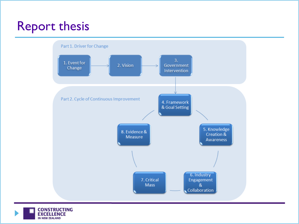# Report thesis



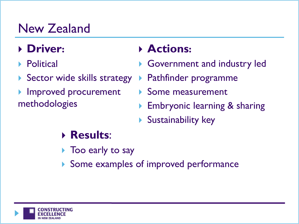# New Zealand

### **Driver:**

- **Political**
- Sector wide skills strategy
- Improved procurement methodologies

### **Actions:**

- Government and industry led
- Pathfinder programme
- Some measurement
- Embryonic learning & sharing
- Sustainability key

## **Results**:

- ▶ Too early to say
- Some examples of improved performance

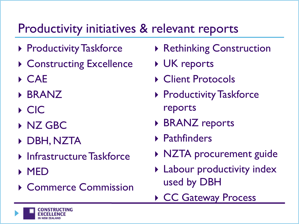## Productivity initiatives & relevant reports

- ▶ Productivity Taskforce
- ▶ Constructing Excellence
- CAE
- BRANZ
- $\triangleright$  CIC
- **NZ GBC**
- DBH, NZTA
- **Infrastructure Taskforce**
- MED
- ▶ Commerce Commission
- ▶ Rethinking Construction
- **▶ UK reports**
- ▶ Client Protocols
- ▶ Productivity Taskforce reports
- ▶ BRANZ reports
- Pathfinders
- ▶ NZTA procurement guide
- **Labour productivity index** used by DBH
- ▶ CC Gateway Process

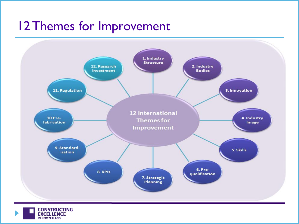## 12 Themes for Improvement